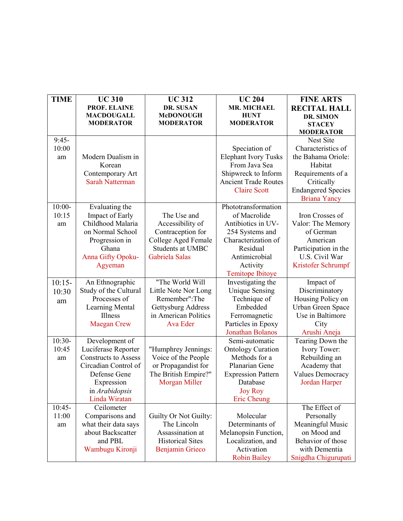| <b>TIME</b> | <b>UC 310</b>               | <b>UC312</b>            | <b>UC 204</b>               | <b>FINE ARTS</b>          |
|-------------|-----------------------------|-------------------------|-----------------------------|---------------------------|
|             | PROF. ELAINE                | DR. SUSAN               | <b>MR. MICHAEL</b>          | <b>RECITAL HALL</b>       |
|             | <b>MACDOUGALL</b>           | <b>McDONOUGH</b>        | <b>HUNT</b>                 | DR. SIMON                 |
|             | <b>MODERATOR</b>            | <b>MODERATOR</b>        | <b>MODERATOR</b>            | <b>STACEY</b>             |
|             |                             |                         |                             | <b>MODERATOR</b>          |
| $9:45-$     |                             |                         |                             | Nest Site                 |
| 10:00       |                             |                         | Speciation of               | Characteristics of        |
| am          | Modern Dualism in           |                         | <b>Elephant Ivory Tusks</b> | the Bahama Oriole:        |
|             | Korean                      |                         | From Java Sea               | Habitat                   |
|             | Contemporary Art            |                         | Shipwreck to Inform         | Requirements of a         |
|             | <b>Sarah Natterman</b>      |                         | <b>Ancient Trade Routes</b> | Critically                |
|             |                             |                         | <b>Claire Scott</b>         | <b>Endangered Species</b> |
|             |                             |                         |                             | <b>Briana Yancy</b>       |
| $10:00-$    | Evaluating the              |                         | Phototransformation         |                           |
| 10:15       | Impact of Early             | The Use and             | of Macrolide                | Iron Crosses of           |
| am          | Childhood Malaria           | Accessibility of        | Antibiotics in UV-          | Valor: The Memory         |
|             | on Normal School            | Contraception for       | 254 Systems and             | of German                 |
|             | Progression in              | College Aged Female     | Characterization of         | American                  |
|             | Ghana                       | <b>Students at UMBC</b> | Residual                    | Participation in the      |
|             | Anna Gifty Opoku-           | Gabriela Salas          | Antimicrobial               | U.S. Civil War            |
|             | Agyeman                     |                         | Activity                    | Kristofer Schrumpf        |
|             |                             |                         | <b>Temitope Ibitoye</b>     |                           |
| $10:15-$    | An Ethnographic             | "The World Will         | Investigating the           | Impact of                 |
| 10:30       | Study of the Cultural       | Little Note Nor Long    | <b>Unique Sensing</b>       | Discriminatory            |
| am          | Processes of                | Remember":The           | Technique of                | Housing Policy on         |
|             | <b>Learning Mental</b>      | Gettysburg Address      | Embedded                    | Urban Green Space         |
|             | Illness                     | in American Politics    | Ferromagnetic               | Use in Baltimore          |
|             | <b>Maegan Crew</b>          | Ava Eder                | Particles in Epoxy          | City                      |
|             |                             |                         | Jonathan Bolanos            | Arushi Aneja              |
| $10:30-$    | Development of              |                         | Semi-automatic              | Tearing Down the          |
| 10:45       | Luciferase Reporter         | "Humphrey Jennings:     | <b>Ontology Curation</b>    | Ivory Tower:              |
| am          | <b>Constructs to Assess</b> | Voice of the People     | Methods for a               | Rebuilding an             |
|             | Circadian Control of        | or Propagandist for     | Planarian Gene              | Academy that              |
|             | Defense Gene                | The British Empire?"    | <b>Expression Pattern</b>   | <b>Values Democracy</b>   |
|             | Expression                  | Morgan Miller           | Database                    | Jordan Harper             |
|             | in Arabidopsis              |                         | <b>Joy Roy</b>              |                           |
|             | Linda Wiratan               |                         | Eric Cheung                 |                           |
| $10:45-$    | Ceilometer                  |                         |                             | The Effect of             |
| 11:00       | Comparisons and             | Guilty Or Not Guilty:   | Molecular                   | Personally                |
| am          | what their data says        | The Lincoln             | Determinants of             | Meaningful Music          |
|             | about Backscatter           | Assassination at        | Melanopsin Function,        | on Mood and               |
|             | and PBL                     | <b>Historical Sites</b> | Localization, and           | Behavior of those         |
|             | Wambugu Kironji             | <b>Benjamin Grieco</b>  | Activation                  | with Dementia             |
|             |                             |                         | <b>Robin Bailey</b>         | Snigdha Chigurupati       |